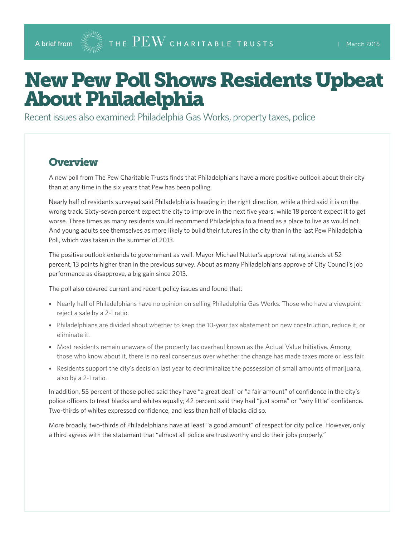# New Pew Poll Shows Residents Upbeat About Philadelphia

Recent issues also examined: Philadelphia Gas Works, property taxes, police

#### **Overview**

A new poll from The Pew Charitable Trusts finds that Philadelphians have a more positive outlook about their city than at any time in the six years that Pew has been polling.

Nearly half of residents surveyed said Philadelphia is heading in the right direction, while a third said it is on the wrong track. Sixty-seven percent expect the city to improve in the next five years, while 18 percent expect it to get worse. Three times as many residents would recommend Philadelphia to a friend as a place to live as would not. And young adults see themselves as more likely to build their futures in the city than in the last Pew Philadelphia Poll, which was taken in the summer of 2013.

The positive outlook extends to government as well. Mayor Michael Nutter's approval rating stands at 52 percent, 13 points higher than in the previous survey. About as many Philadelphians approve of City Council's job performance as disapprove, a big gain since 2013.

The poll also covered current and recent policy issues and found that:

- Nearly half of Philadelphians have no opinion on selling Philadelphia Gas Works. Those who have a viewpoint reject a sale by a 2-1 ratio.
- Philadelphians are divided about whether to keep the 10-year tax abatement on new construction, reduce it, or eliminate it.
- Most residents remain unaware of the property tax overhaul known as the Actual Value Initiative. Among those who know about it, there is no real consensus over whether the change has made taxes more or less fair.
- Residents support the city's decision last year to decriminalize the possession of small amounts of marijuana, also by a 2-1 ratio.

In addition, 55 percent of those polled said they have "a great deal" or "a fair amount" of confidence in the city's police officers to treat blacks and whites equally; 42 percent said they had "just some" or "very little" confidence. Two-thirds of whites expressed confidence, and less than half of blacks did so.

More broadly, two-thirds of Philadelphians have at least "a good amount" of respect for city police. However, only a third agrees with the statement that "almost all police are trustworthy and do their jobs properly."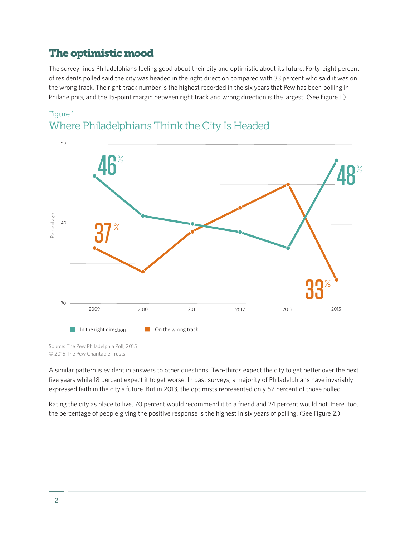## The optimistic mood

The survey finds Philadelphians feeling good about their city and optimistic about its future. Forty-eight percent of residents polled said the city was headed in the right direction compared with 33 percent who said it was on the wrong track. The right-track number is the highest recorded in the six years that Pew has been polling in Philadelphia, and the 15-point margin between right track and wrong direction is the largest. (See Figure 1.)





Source: The Pew Philadelphia Poll, 2015 © 2015 The Pew Charitable Trusts

A similar pattern is evident in answers to other questions. Two-thirds expect the city to get better over the next five years while 18 percent expect it to get worse. In past surveys, a majority of Philadelphians have invariably expressed faith in the city's future. But in 2013, the optimists represented only 52 percent of those polled.

Rating the city as place to live, 70 percent would recommend it to a friend and 24 percent would not. Here, too, the percentage of people giving the positive response is the highest in six years of polling. (See Figure 2.)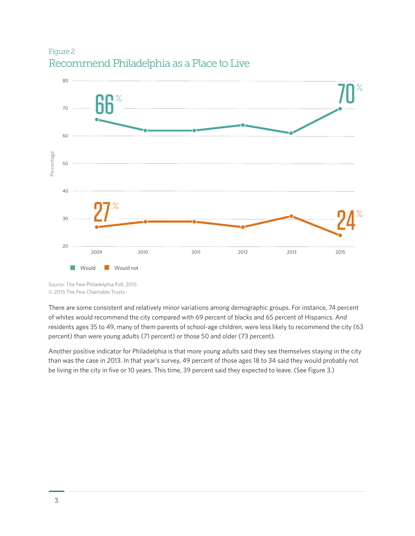#### Figure 2 Recommend Philadelphia as a Place to Live



Source: The Pew Philadelphia Poll, 2015 © 2015 The Pew Charitable Trusts

There are some consistent and relatively minor variations among demographic groups. For instance, 74 percent of whites would recommend the city compared with 69 percent of blacks and 65 percent of Hispanics. And residents ages 35 to 49, many of them parents of school-age children, were less likely to recommend the city (63 percent) than were young adults (71 percent) or those 50 and older (73 percent).

Another positive indicator for Philadelphia is that more young adults said they see themselves staying in the city than was the case in 2013. In that year's survey, 49 percent of those ages 18 to 34 said they would probably not be living in the city in five or 10 years. This time, 39 percent said they expected to leave. (See Figure 3.)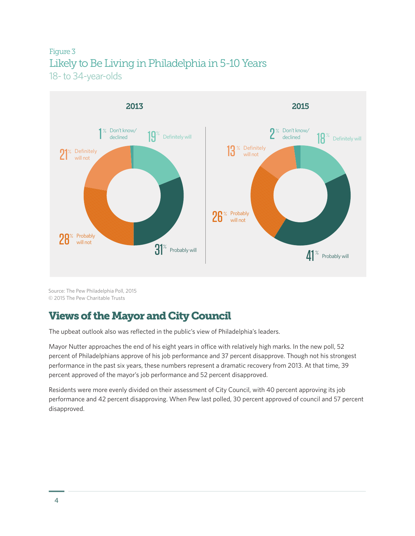#### Figure 3 Likely to Be Living in Philadelphia in 5-10 Years 18- to 34-year-olds



Source: The Pew Philadelphia Poll, 2015 © 2015 The Pew Charitable Trusts

## Views of the Mayor and City Council

The upbeat outlook also was reflected in the public's view of Philadelphia's leaders.

Mayor Nutter approaches the end of his eight years in office with relatively high marks. In the new poll, 52 percent of Philadelphians approve of his job performance and 37 percent disapprove. Though not his strongest performance in the past six years, these numbers represent a dramatic recovery from 2013. At that time, 39 percent approved of the mayor's job performance and 52 percent disapproved.

Residents were more evenly divided on their assessment of City Council, with 40 percent approving its job performance and 42 percent disapproving. When Pew last polled, 30 percent approved of council and 57 percent disapproved.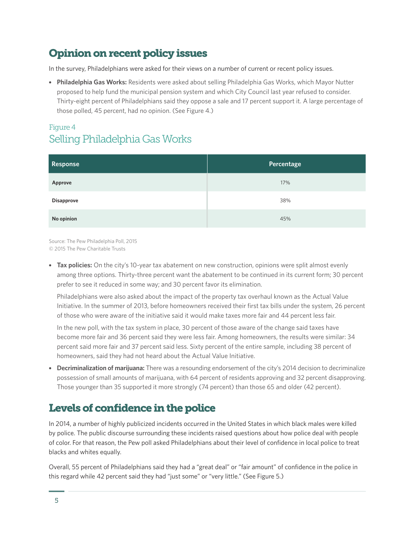# Opinion on recent policy issues

In the survey, Philadelphians were asked for their views on a number of current or recent policy issues.

• **Philadelphia Gas Works:** Residents were asked about selling Philadelphia Gas Works, which Mayor Nutter proposed to help fund the municipal pension system and which City Council last year refused to consider. Thirty-eight percent of Philadelphians said they oppose a sale and 17 percent support it. A large percentage of those polled, 45 percent, had no opinion. (See Figure 4.)

#### Figure 4 Selling Philadelphia Gas Works

| <b>Response</b>   | Percentage |
|-------------------|------------|
| Approve           | 17%        |
| <b>Disapprove</b> | 38%        |
| No opinion        | 45%        |

Source: The Pew Philadelphia Poll, 2015 © 2015 The Pew Charitable Trusts

• **Tax policies:** On the city's 10-year tax abatement on new construction, opinions were split almost evenly among three options. Thirty-three percent want the abatement to be continued in its current form; 30 percent prefer to see it reduced in some way; and 30 percent favor its elimination.

Philadelphians were also asked about the impact of the property tax overhaul known as the Actual Value Initiative. In the summer of 2013, before homeowners received their first tax bills under the system, 26 percent of those who were aware of the initiative said it would make taxes more fair and 44 percent less fair.

In the new poll, with the tax system in place, 30 percent of those aware of the change said taxes have become more fair and 36 percent said they were less fair. Among homeowners, the results were similar: 34 percent said more fair and 37 percent said less. Sixty percent of the entire sample, including 38 percent of homeowners, said they had not heard about the Actual Value Initiative.

• **Decriminalization of marijuana:** There was a resounding endorsement of the city's 2014 decision to decriminalize possession of small amounts of marijuana, with 64 percent of residents approving and 32 percent disapproving. Those younger than 35 supported it more strongly (74 percent) than those 65 and older (42 percent).

# Levels of confidence in the police

In 2014, a number of highly publicized incidents occurred in the United States in which black males were killed by police. The public discourse surrounding these incidents raised questions about how police deal with people of color. For that reason, the Pew poll asked Philadelphians about their level of confidence in local police to treat blacks and whites equally.

Overall, 55 percent of Philadelphians said they had a "great deal" or "fair amount" of confidence in the police in this regard while 42 percent said they had "just some" or "very little." (See Figure 5.)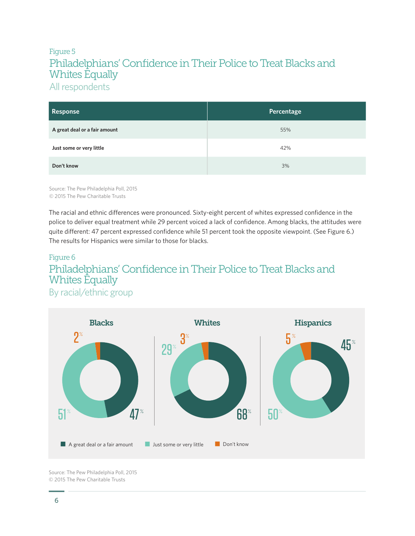#### Figure 5 Philadelphians' Confidence in Their Police to Treat Blacks and Whites Equally All respondents

| Response                      | Percentage |
|-------------------------------|------------|
| A great deal or a fair amount | 55%        |
| Just some or very little      | 42%        |
| Don't know                    | 3%         |

Source: The Pew Philadelphia Poll, 2015 © 2015 The Pew Charitable Trusts

The racial and ethnic differences were pronounced. Sixty-eight percent of whites expressed confidence in the police to deliver equal treatment while 29 percent voiced a lack of confidence. Among blacks, the attitudes were quite different: 47 percent expressed confidence while 51 percent took the opposite viewpoint. (See Figure 6.) The results for Hispanics were similar to those for blacks.

# Figure 6 Philadelphians' Confidence in Their Police to Treat Blacks and Whites Equally

By racial/ethnic group



Source: The Pew Philadelphia Poll, 2015 © 2015 The Pew Charitable Trusts